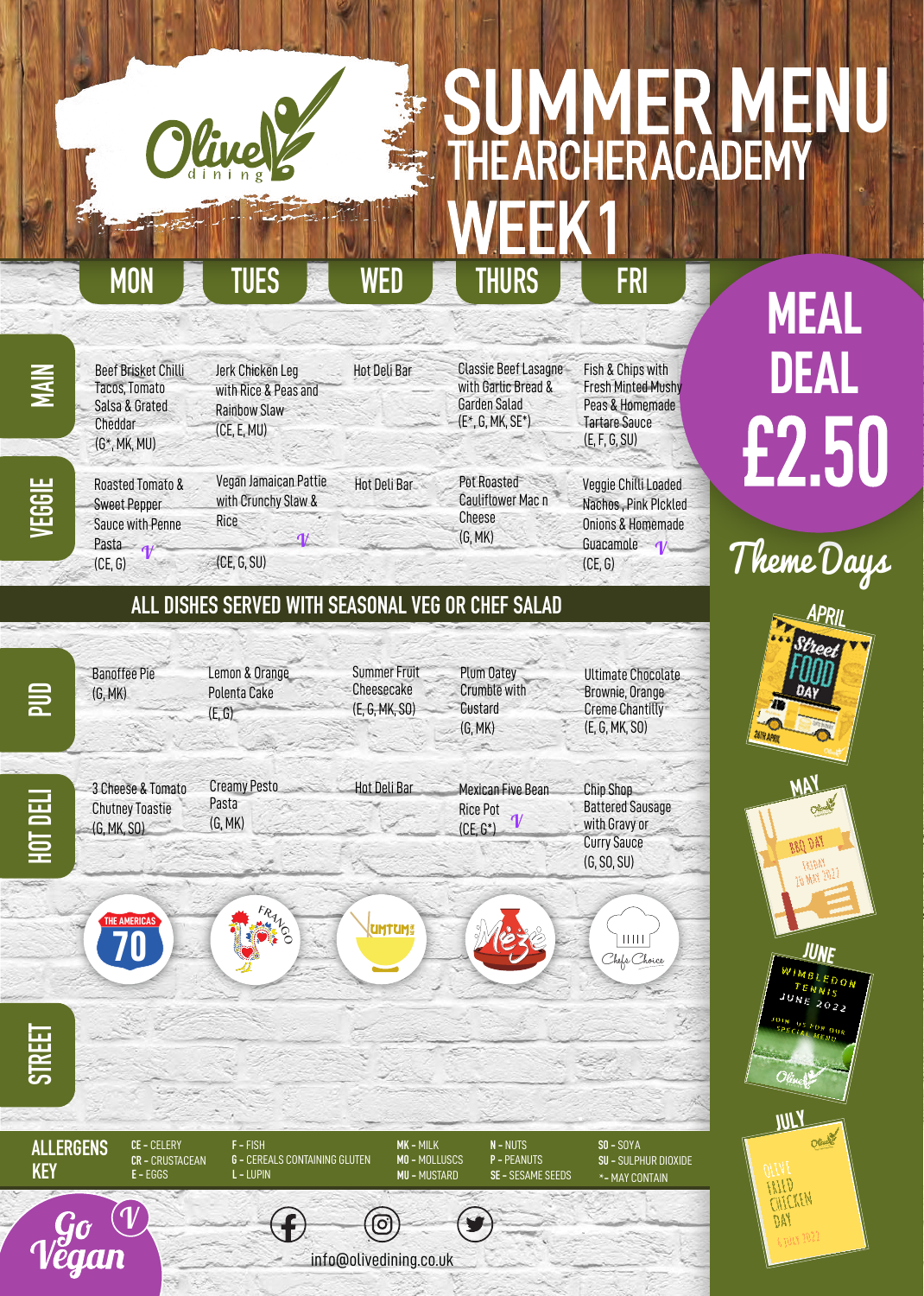## SUMMER **MENU** THE ARCHER ACADEMY WEEK<sub>1</sub>

### **MON TUES WED THURS FRI**

Fish & Chips with Fresh Minted Mushy Peas & Homemade Tartare Sauce (E, F, G, SU)

Beef Brisket Chilli Tacos, Tomato Salsa & Grated Cheddar (G\*, MK, MU)

Jerk Chicken Leg with Rice & Peas and Rainbow Slaw (CE, E, MU)

with Garlic Bread & Garden Salad (E\*, G, MK, SE\*)

Classic Beef Lasagne

Veggie Chilli Loaded Nachos , Pink PIckled Onions & Homemade Guacamole 1 (CE, G)

**MEAL DEAL** £2.50

Theme Days

**MAY**

**JUNE**

**NE 2022** 

**JULY**

 $DAI$ 

APRIL

Roasted Tomato & Sweet Pepper Sauce with Penne Pasta d (CE, G)

Vegan Jamaican Pattie with Crunchy Slaw & Rice  $(CE, G, SU)$ 

Hot Deli Bar  $\boldsymbol{\psi}$ 

Hot Deli Bar

Pot Roasted Cauliflower Mac n Cheese (G, MK)

### **ALL DISHES SERVED WITH SEASONAL VEG OR CHEF SALAD**

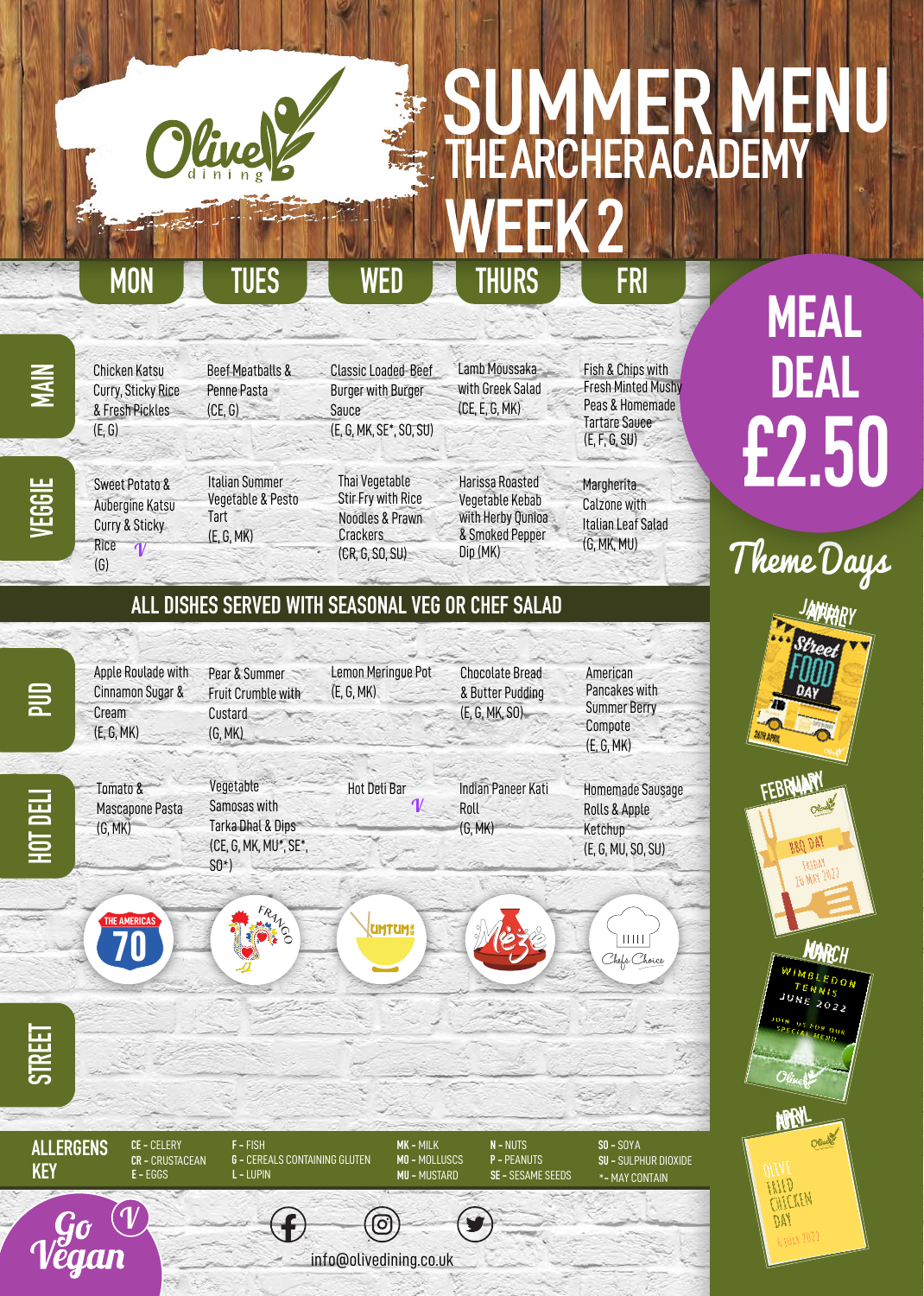## SUMMER **MENU** THE ARCHERACADEMY WEEK 2

Chicken Katsu Curry, Sticky Rice & Fresh Pickles

Sweet Potato & Aubergine Katsu Curry & Sticky

 $\overline{q}$ 

(E, G)

Rice (G)

**HGGH** 

Beef Meatballs & Penne Pasta  $(CE, G)$ 

Italian Summer Vegetable & Pesto

Tart (E, G, MK)

**MON TUES WED THURS FRI**

Classic Loaded Beef Burger with Burger

(E, G, MK, SE\*, SO, SU)

Thai Vegetable Stir Fry with Rice Noodles & Prawn Crackers (CR, G, SO, SU)

Lamb Moussaka with Greek Salad (CE, E, G, MK)

Harissa Roasted Vegetable Kebab with Herby Qunioa & Smoked Pepper Dip (MK)

Fish & Chips with Fresh Minted Mushy Peas & Homemade Tartare Sauce (E, F, G, SU)

**Margherita** Calzone with Italian Leaf Salad (G, MK, MU)

Theme Days

**MEAL** 

**DEAL**

£2.50

**JANUARY**

ANHAR

**MARCH JUNE**

 $NE$  2022

### **ALL DISHES SERVED WITH SEASONAL VEG OR CHEF SALAD**

Sauce